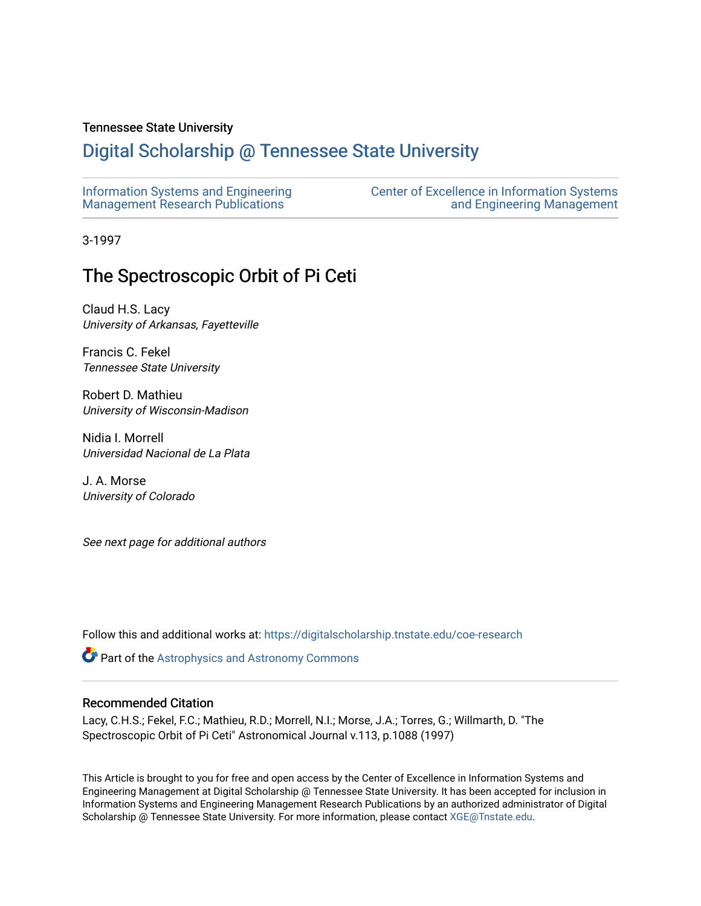# Tennessee State University

# [Digital Scholarship @ Tennessee State University](https://digitalscholarship.tnstate.edu/)

| Information Systems and Engineering | <b>Center of Excellence in Information Systems</b> |
|-------------------------------------|----------------------------------------------------|
| Management Research Publications    | and Engineering Management                         |

3-1997

# The Spectroscopic Orbit of Pi Ceti

Claud H.S. Lacy University of Arkansas, Fayetteville

Francis C. Fekel Tennessee State University

Robert D. Mathieu University of Wisconsin-Madison

Nidia I. Morrell Universidad Nacional de La Plata

J. A. Morse University of Colorado

See next page for additional authors

Follow this and additional works at: [https://digitalscholarship.tnstate.edu/coe-research](https://digitalscholarship.tnstate.edu/coe-research?utm_source=digitalscholarship.tnstate.edu%2Fcoe-research%2F352&utm_medium=PDF&utm_campaign=PDFCoverPages) 

**Part of the Astrophysics and Astronomy Commons** 

## Recommended Citation

Lacy, C.H.S.; Fekel, F.C.; Mathieu, R.D.; Morrell, N.I.; Morse, J.A.; Torres, G.; Willmarth, D. "The Spectroscopic Orbit of Pi Ceti" Astronomical Journal v.113, p.1088 (1997)

This Article is brought to you for free and open access by the Center of Excellence in Information Systems and Engineering Management at Digital Scholarship @ Tennessee State University. It has been accepted for inclusion in Information Systems and Engineering Management Research Publications by an authorized administrator of Digital Scholarship @ Tennessee State University. For more information, please contact [XGE@Tnstate.edu](mailto:XGE@Tnstate.edu).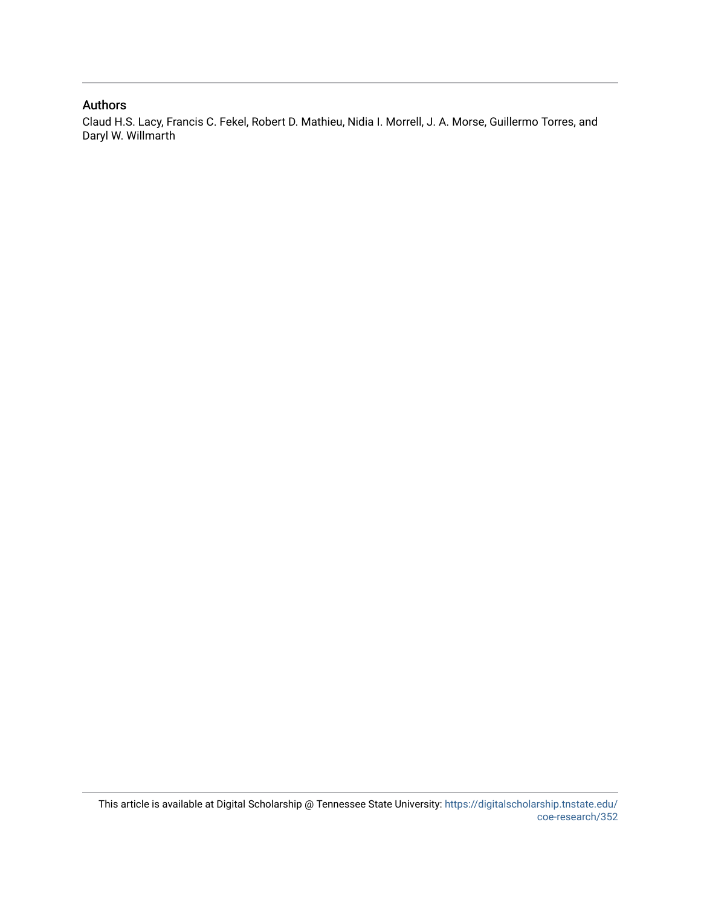# Authors

Claud H.S. Lacy, Francis C. Fekel, Robert D. Mathieu, Nidia I. Morrell, J. A. Morse, Guillermo Torres, and Daryl W. Willmarth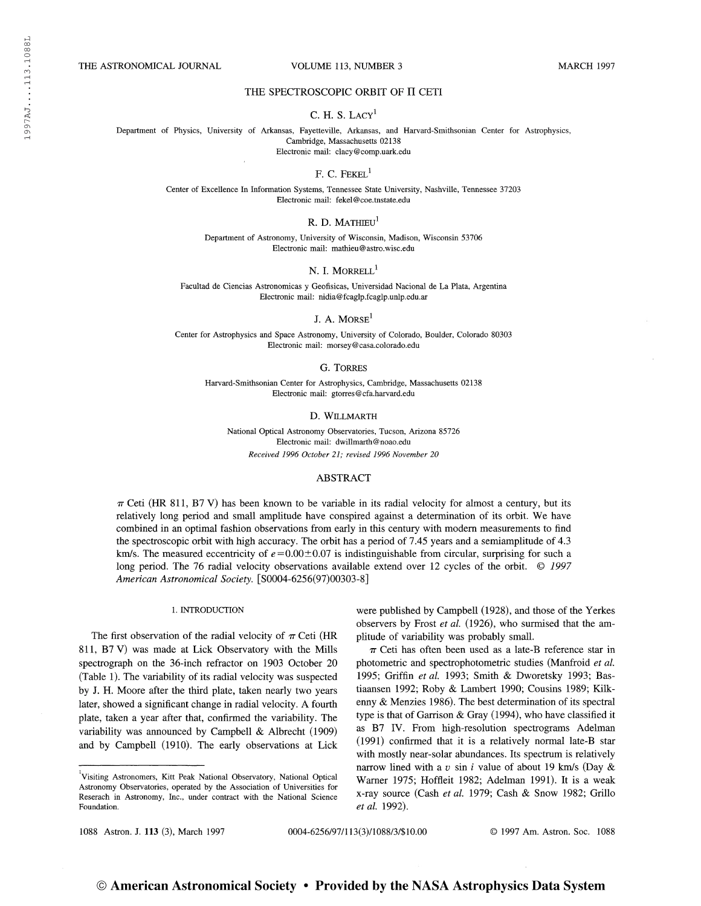THE ASTRONOMICAL JOURNAL VOLUME 113, NUMBER 3 MARCH 1997

## THE SPECTROSCOPIC ORBIT OF II CETI

### C. H. S.  $LACY<sup>1</sup>$

Department of Physics, University of Arkansas, Fayetteville, Arkansas, and Harvard-Smithsonian Center for Astrophysics, Cambridge, Massachusetts 02138 Electronic mail: clacy@comp.uark.edu

#### $F. C. FEXEL<sup>1</sup>$

Center of Excellence In Information Systems, Tennessee State University, Nashville, Tennessee 37203 Electronic mail: fekel@coe.tnstate.edu

R. D. MATHIEU<sup>1</sup>

Department of Astronomy, University of Wisconsin, Madison, Wisconsin 53706 Electronic mail: mathieu@astro.wisc.edu

N. I. MORRELL<sup>1</sup>

Facultad de Ciencias Astronomicas y Geofísicas, Universidad Nacional de La Plata, Argentina Electronic mail: nidia@fcaglp.fcaglp.unlp.edu.ar

J. A. MORS $E<sup>1</sup>$ 

Center for Astrophysics and Space Astronomy, University of Colorado, Boulder, Colorado 80303 Electronic mail: morsey@casa.colorado.edu

G. Torres

Harvard-Smithsonian Center for Astrophysics, Cambridge, Massachusetts 02138 Electronic mail: gtorres@cfa.harvard.edu

#### D. Willmarth

National Optical Astronomy Observatories, Tucson, Arizona 85726 Electronic mail: dwillmarth@noao.edu Received 1996 October 21; revised 1996 November 20

## ABSTRACT

 $\pi$  Ceti (HR 811, B7 V) has been known to be variable in its radial velocity for almost a century, but its relatively long period and small amplitude have conspired against a determination of its orbit. We have combined in an optimal fashion observations from early in this century with modem measurements to find the spectroscopic orbit with high accuracy. The orbit has a period of 7.45 years and a semiamplitude of 4.3 km/s. The measured eccentricity of  $e = 0.00 \pm 0.07$  is indistinguishable from circular, surprising for such a long period. The 76 radial velocity observations available extend over 12 cycles of the orbit.  $\degree$  1997 American Astronomical Society. [80004-6256(97)00303-8]

#### 1. INTRODUCTION

The first observation of the radial velocity of  $\pi$  Ceti (HR 811, B7 V) was made at Lick Observatory with the Mills spectrograph on the 36-inch refractor on 1903 October 20 (Table 1). The variability of its radial velocity was suspected by J. H. Moore after the third plate, taken nearly two years later, showed a significant change in radial velocity. A fourth plate, taken a year after that, confirmed the variability. The variability was announced by Campbell & Albrecht (1909) and by Campbell (1910). The early observations at Lick

were published by Campbell (1928), and those of the Yerkes observers by Frost et al. (1926), who surmised that the amplitude of variability was probably small.

 $\pi$  Ceti has often been used as a late-B reference star in photometric and spectrophotometric studies (Manfroid et al. 1995; Griffin et al. 1993; Smith & Dworetsky 1993; Bastiaansen 1992; Roby & Lambert 1990; Cousins 1989; Kilkenny & Menzies 1986). The best determination of its spectral type is that of Garrison & Gray (1994), who have classified it as B7 IV. From high-resolution spectrograms Adelman (1991) confirmed that it is a relatively normal late-B star with mostly near-solar abundances. Its spectrum is relatively narrow lined with a v sin i value of about 19 km/s (Day  $\&$ Warner 1975; Hoffleit 1982; Adelman 1991). It is a weak x-ray source (Cash et al. 1979; Cash & Snow 1982; Grillo et al. 1992).

1088 Astron. J. 113 (3), March 1997 0004-6256/97/113(3)/1088/3/\$ 10.00 © 1997 Am. Astron. Soc. 1088

Visiting Astronomers, Kitt Peak National Observatory, National Optical Astronomy Observatories, operated by the Association of Universities for Reserach in Astronomy, Inc., under contract with the National Science Foundation.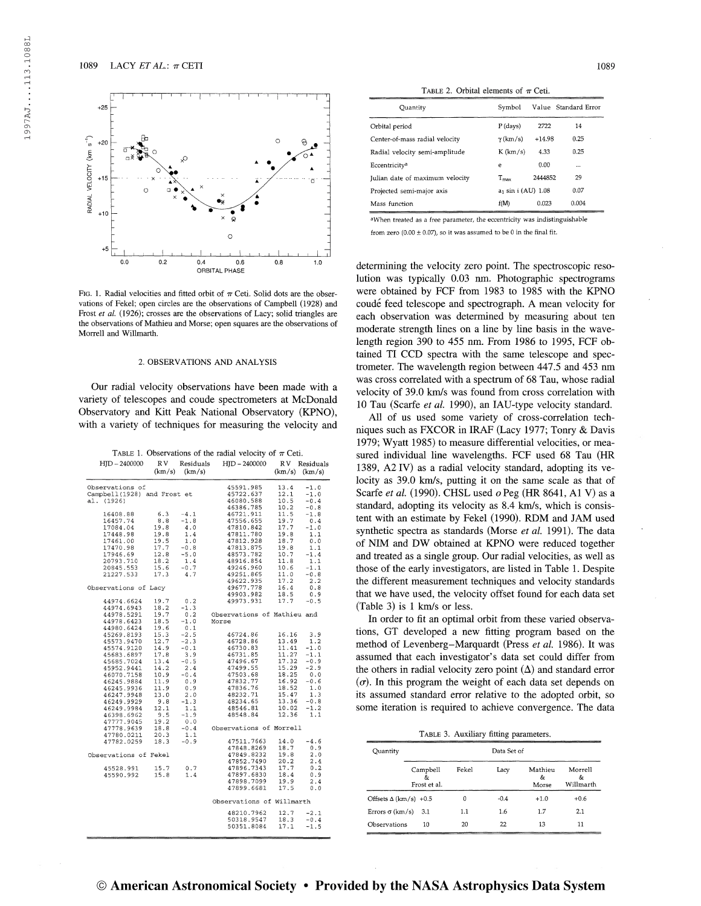

Fig. 1. Radial velocities and fitted orbit of  $\pi$  Ceti. Solid dots are the observations of Fekel; open circles are the observations of Campbell (1928) and Frost et al. (1926); crosses are the observations of Lacy; solid triangles are the observations of Mathieu and Morse; open squares are the observations of Morrell and Willmarth.

#### 2. OBSERVATIONS AND ANALYSIS

Our radial velocity observations have been made with a variety of telescopes and coude spectrometers at McDonald Observatory and Kitt Peak National Observatory (KPNO), with a variety of techniques for measuring the velocity and

| $HJD - 2400000$             | R V<br>(km/s) | Residuals<br>(km/s) | HID - 2400000               | R V<br>$(km/s)$ $(km/s)$ | Residuals        |
|-----------------------------|---------------|---------------------|-----------------------------|--------------------------|------------------|
| Observations of             |               |                     | 45591.985                   | 13.4                     | $-1.0$           |
| Campbell(1928) and Frost et |               |                     | 45722.637                   | 12.1                     | $-1.0$           |
| al. (1926)                  |               |                     | 46080.588                   | 10.5                     | $-0.4$           |
|                             |               |                     | 46386.785                   | 10.2                     | $-0.8$           |
| 16408.88                    | 6.3           | $-4.1$              | 46721.911                   | 11.5                     | $-1.8$           |
| 16457.74                    | 8.8           | $-1.8$              | 47556.655                   | 19.7                     | 0.4              |
| 17084.04                    | 19.8          | 4.0                 | 47810.842                   | 17.7                     | $-1.0$           |
| 17448.98                    | 19.8          | 1.4                 | 47811.780                   | 19.8                     | 1.1              |
| 17461.00                    | 19.5<br>17.7  | 1.0                 | 47812.928                   | 18.7                     | 0.0              |
| 17470.98                    |               | $-0.8$              | 47813.875                   | 19.8                     | 1.1              |
| 17946.69                    | 12.8          | $-5.0$              | 48573.782                   | 10.7                     | $-1.4$           |
| 20793.710                   | 18.2<br>15.6  | 1.4<br>$-0.7$       | 48916.854                   | 11.8<br>10.6             | 1.1              |
| 20845.553<br>21227.533      | 17.3          | 4.7                 | 49246.960<br>49251.865      | 11.0                     | $-1.1$<br>$-0.8$ |
|                             |               |                     | 49622.935                   | 17.2                     | 2.2              |
| Observations of Lacy        |               |                     | 49677.778                   | 16.4                     | 0.8              |
|                             |               |                     | 49903.982                   | 18.5                     | 0.9              |
| 44974.6624                  | 19.7          | 0.2                 | 49973.931                   | 17.7                     | $-0.5$           |
| 44974.6943                  | 18.2          | $-1.3$              |                             |                          |                  |
| 44978.5291                  | 19.7          | 0.2                 | Observations of Mathieu and |                          |                  |
| 44978.6423                  | 18.5          | $-1.0$              | Morse                       |                          |                  |
| 44980.6424                  | 19.6          | 0.1                 |                             |                          |                  |
| 45269.8193                  | 15.3          | $-2.5$              | 46724.86                    | 16.16                    | 3.9              |
| 45573.9470                  | 12.7          | $-2.3$              | 46728.86                    | 13.49                    | 1.2              |
| 45574.9120                  | 14.9          | $-0.1$              | 46730.83                    | 11.41                    | $-1.0$           |
| 45683.6897                  | 17.8          | 3.9                 | 46731.85                    | 11.27                    | $-1.1$           |
| 45685.7024                  | 13.4          | $-0.5$              | 47496.67                    | 17.32                    | $-0.9$           |
| 45952.9441                  | 14.2          | 2.4                 | 47499.55                    | 15.29                    | $-2.9$           |
| 46070.7158                  | 10.9          | $-0.4$              | 47503.68                    | 18.25                    | 0.0              |
| 46245.9884                  | 11.9          | 0.9                 | 47832.77                    | 16.92                    | $-0.6$           |
| 46245.9936                  | 11.9          | 0.9                 | 47836.76                    | 18.52                    | 1.0              |
| 46247.9948                  | 13.0          | 2.0                 | 48232.71                    | 15.47                    | 1.3              |
| 46249.9929                  | 9.8           | $-1.3$              | 48234.65                    | 13.36                    | $-0.8$           |
| 46249.9984                  | 12.1          | 1.1                 | 48546.81                    | 10.02                    | $-1.2$           |
| 46398.6962                  | 9.5           | $-1.9$              | 48548.84                    | 12.36                    | 1.1              |
| 47777.9045                  | 19.2          | 0.0                 |                             |                          |                  |
| 47778.9639                  | 18.8          | $-0.4$              | Observations of Morrell     |                          |                  |
| 47780.0211                  | 20.3          | 1.1                 |                             |                          |                  |
| 47782.0259                  | 18.3          | $-0.9$              | 47511.7663                  | 14.0                     | $-4.6$           |
|                             |               |                     | 47848.8269                  | 18.7                     | 0.9              |
| Observations of Fekel       |               |                     | 47849.8232                  | 19.8                     | 2.0              |
|                             |               |                     | 47852.7490                  | 20.2                     | 2.4              |
| 45528.991                   | 15.7          | 0.7                 | 47896.7343                  | 17.7                     | 0.2              |
| 45590.992                   | 15.8          | 1.4                 | 47897.6830                  | 18.4                     | 0.9              |
|                             |               |                     | 47898.7099                  | 19.9                     | 2.4              |
|                             |               |                     | 47899.6681                  | 17.5                     | 0.0              |
|                             |               |                     | Observations of Willmarth   |                          |                  |
|                             |               |                     | 48210.7962                  | 12.7                     | $-2.1$           |
|                             |               |                     | 50318.9547                  | 18.3                     | $-0.4$           |
|                             |               |                     | 50351.8084                  | 17.1                     | $-1.5$           |

TABLE 1. Observations of the radial velocity of  $\pi$  Ceti.

TABLE 2. Orbital elements of  $\pi$  Ceti.

| Ouantity                        | Symbol                         | Value Standard Error |          |
|---------------------------------|--------------------------------|----------------------|----------|
| Orbital period                  | $P$ (days)                     | 2722                 | 14       |
| Center-of-mass radial velocity  | $\gamma$ (km/s)                | $+14.98$             | 0.25     |
| Radial velocity semi-amplitude  | $K$ (km/s)                     | 4.33                 | 0.25     |
| Eccentricity <sup>a</sup>       | e                              | 0.00                 | $\cdots$ |
| Julian date of maximum velocity | $T_{\rm max}$                  | 2444852              | 29       |
| Projected semi-major axis       | a <sub>1</sub> sin i (AU) 1.08 | 0.07                 |          |
| Mass function                   | f(M)                           | 0.023                | 0.004    |
|                                 |                                |                      |          |

<sup>a</sup>When treated as <sup>a</sup> free parameter, the eccentricity was indistinguishable from zero (0.00  $\pm$  0.07), so it was assumed to be 0 in the final fit.

determining the velocity zero point. The spectroscopic resolution was typically 0.03 nm. Photographic spectrograms were obtained by FCF from 1983 to 1985 with the KPNO coudé feed telescope and spectrograph. A mean velocity for each observation was determined by measuring about ten moderate strength lines on a line by line basis in the wavelength region 390 to 455 nm. From 1986 to 1995, FCF obtained TI CCD spectra with the same telescope and spectrometer. The wavelength region between 447.5 and 453 nm was cross correlated with a spectrum of 68 Tau, whose radial velocity of 39.0 km/s was found from cross correlation with 10 Tau (Scarfe et al. 1990), an IAU-type velocity standard.

All of us used some variety of cross-correlation techniques such as FXCOR in IRAF (Lacy 1977; Tonry & Davis 1979; Wyatt 1985) to measure differential velocities, or measured individual line wavelengths. FCF used 68 Tau (HR 1389, A2IV) as a radial velocity standard, adopting its velocity as 39.0 km/s, putting it on the same scale as that of Scarfe et al. (1990). CHSL used  $o$  Peg (HR 8641, A1 V) as a standard, adopting its velocity as 8.4 km/s, which is consistent with an estimate by Fekel (1990). RDM and JAM used synthetic spectra as standards (Morse *et al.* 1991). The data of NIM and DW obtained at KPNO were reduced together and treated as a single group. Our radial velocities, as well as those of the early investigators, are listed in Table 1. Despite the different measurement techniques and velocity standards that we have used, the velocity offset found for each data set (Table 3) is <sup>1</sup> km/s or less.

In order to fit an optimal orbit from these varied observations, GT developed a new fitting program based on the method of Levenberg-Marquardt (Press et al. 1986). It was assumed that each investigator's data set could differ from the others in radial velocity zero point  $(\Delta)$  and standard error  $(\sigma)$ . In this program the weight of each data set depends on its assumed standard error relative to the adopted orbit, so some iteration is required to achieve convergence. The data

TABLE 3. Auxiliary fitting parameters.

| Quantity                     |                                | Data Set of |        |                       |                            |  |
|------------------------------|--------------------------------|-------------|--------|-----------------------|----------------------------|--|
|                              | Campbell<br>őτ<br>Frost et al. | Fekel       | Lacy   | Mathieu<br>&<br>Morse | Morrell<br>&z<br>Willmarth |  |
| Offsets $\Delta$ (km/s) +0.5 |                                | 0           | $-0.4$ | $+1.0$                | $+0.6$                     |  |
| Errors $\sigma$ (km/s)       | 3.1                            | 1.1         | 1.6    | 1.7                   | 2.1                        |  |
| Observations                 | 10                             | 20          | 22     | 13                    | 11                         |  |
|                              |                                |             |        |                       |                            |  |

1997AJ 113.1088L

1997AJ...113.1088L